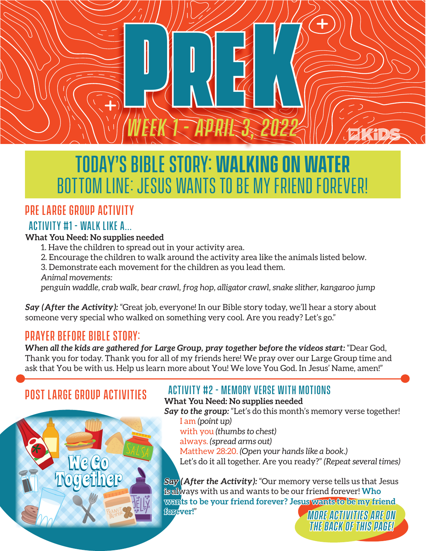

# Today's Bible Story: **walking on water** Bottom Line: Jesus wants to be my friend forever!

## Pre Large Group Activity

### Activity #1 - Walk Like A...

#### **What You Need: No supplies needed**

- 1. Have the children to spread out in your activity area.
- 2. Encourage the children to walk around the activity area like the animals listed below.
- 3. Demonstrate each movement for the children as you lead them.

*Animal movements:*

*penguin waddle, crab walk, bear crawl, frog hop, alligator crawl, snake slither, kangaroo jump*

*Say (After the Activity):* "Great job, everyone! In our Bible story today, we'll hear a story about someone very special who walked on something very cool. Are you ready? Let's go."

### Prayer before bible story:

*When all the kids are gathered for Large Group, pray together before the videos start:* "Dear God, Thank you for today. Thank you for all of my friends here! We pray over our Large Group time and ask that You be with us. Help us learn more about You! We love You God. In Jesus' Name, amen!"

### Post Large Group Activities

**Me Go** 

Together

### Activity #2 - Memory verse with motions

**What You Need: No supplies needed**

- Say to the group: "Let's do this month's memory verse together! I am *(point up)*
	- with you *(thumbs to chest)*
	- always. *(spread arms out)*

Matthew 28:20. *(Open your hands like a book.)* Let's do it all together. Are you ready?" *(Repeat several times)*

*Say (After the Activity):* "Our memory verse tells us that Jesus is always with us and wants to be our friend forever! **Who wants to be your friend forever? Jesus wants to be my friend forever!**"

*More Activities are on the back of this page!*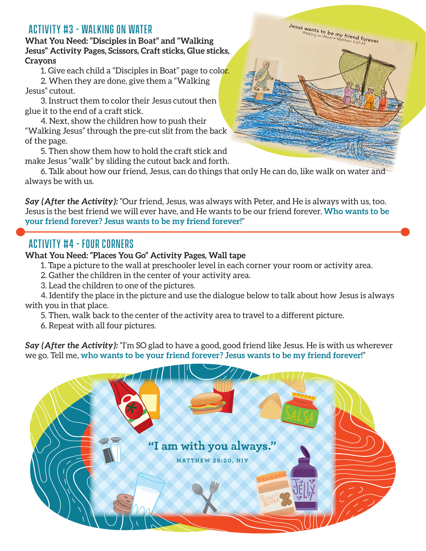### Activity #3 - Walking on water

**What You Need: "Disciples in Boat" and "Walking Jesus" Activity Pages, Scissors, Craft sticks, Glue sticks, Crayons**

1. Give each child a "Disciples in Boat" page to color.

2. When they are done, give them a "Walking Jesus" cutout.

3. Instruct them to color their Jesus cutout then glue it to the end of a craft stick.

4. Next, show the children how to push their "Walking Jesus" through the pre-cut slit from the back of the page.

5. Then show them how to hold the craft stick and make Jesus "walk" by sliding the cutout back and forth.

6. Talk about how our friend, Jesus, can do things that only He can do, like walk on water and always be with us.

*Say (After the Activity):* "Our friend, Jesus, was always with Peter, and He is always with us, too. Jesus is the best friend we will ever have, and He wants to be our friend forever. **Who wants to be your friend forever? Jesus wants to be my friend forever!**"

#### Activity #4 - Four Corners

#### **What You Need: "Places You Go" Activity Pages, Wall tape**

1. Tape a picture to the wall at preschooler level in each corner your room or activity area.

2. Gather the children in the center of your activity area.

3. Lead the children to one of the pictures.

4. Identify the place in the picture and use the dialogue below to talk about how Jesus is always with you in that place.

5. Then, walk back to the center of the activity area to travel to a different picture.

6. Repeat with all four pictures.

*Say (After the Activity):* "I'm SO glad to have a good, good friend like Jesus. He is with us wherever we go. Tell me, **who wants to be your friend forever? Jesus wants to be my friend forever!**"